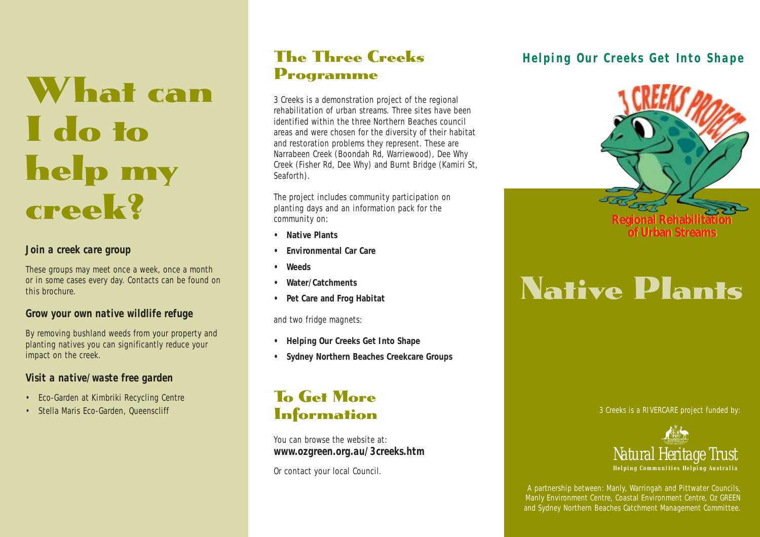# What can I do to help my creek?

#### *Join a creek care group*

These groups may meet once a week, once a month or in some cases every day. Contacts can be found on this brochure.

#### *Grow your own native wildlife refuge*

By removing bushland weeds from your property and planting natives you can significantly reduce your impact on the creek.

#### *Visit a native/waste free garden*

- Eco-Garden at Kimbriki Recycling Centre
- Stella Maris Eco-Garden, Queenscliff

## The Three Creeks Programme

3 Creeks is a demonstration project of the regional rehabilitation of urban streams. Three sites have been identified within the three Northern Beaches council areas and were chosen for the diversity of their habitat and restoration problems they represent. These are Narrabeen Creek (Boondah Rd, Warriewood), Dee Why Creek (Fisher Rd, Dee Why) and Burnt Bridge (Kamiri St, Seaforth).

The project includes community participation on planting days and an information pack for the community on:

- **• Native Plants**
- **• Environmental Car Care**
- **Weeds**
- **Water/Catchments**
- **Pet Care and Frog Habitat**

and two fridge magnets:

- **• Helping Our Creeks Get Into Shape**
- **Sydney Northern Beaches Creekcare Groups**

## To Get More **Information**

You can browse the website at: *www.ozgreen.org.au/3creeks.htm*

Or contact your local Council.

#### *Helping Our Creeks Get Into Shape*



## Native Plants

3 Creeks is a RIVERCARE project funded by:



A partnership between: Manly, Warringah and Pittwater Councils, Manly Environment Centre, Coastal Environment Centre, Oz GREEN and Sydney Northern Beaches Catchment Management Committee.